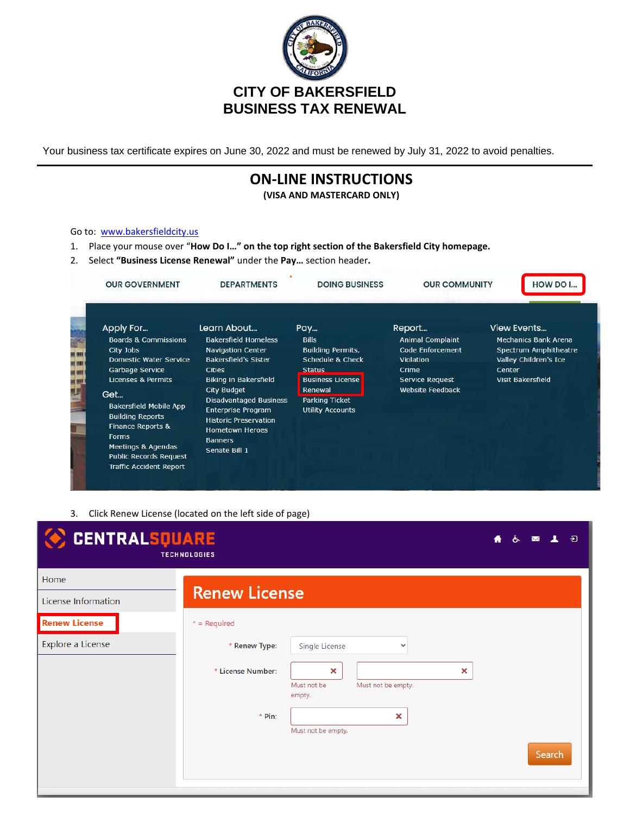

Your business tax certificate expires on June 30, 2022 and must be renewed by July 31, 2022 to avoid penalties.

## **ON-LINE INSTRUCTIONS**

**(VISA AND MASTERCARD ONLY)**

## Go to: [www.bakersfieldcity.us](http://www.bakersfieldcity.us/)

- 1. Place your mouse over "**How Do I…" on the top right section of the Bakersfield City homepage.**
- 2. Select **"Business License Renewal"** under the **Pay…** section header**.**

| <b>OUR GOVERNMENT</b>                                                                                                                                                                         | <b>DEPARTMENTS</b>                                                                                                                                                            | <b>DOING BUSINESS</b>                                                                                           | <b>OUR COMMUNITY</b>                                                                                  | HOW DO I                                                                                                                                  |
|-----------------------------------------------------------------------------------------------------------------------------------------------------------------------------------------------|-------------------------------------------------------------------------------------------------------------------------------------------------------------------------------|-----------------------------------------------------------------------------------------------------------------|-------------------------------------------------------------------------------------------------------|-------------------------------------------------------------------------------------------------------------------------------------------|
| Apply For<br><b>Boards &amp; Commissions</b><br>City Jobs<br>Domestic Water Service<br><b>Garbage Service</b><br>Licenses & Permits                                                           | Learn About<br><b>Bakersfield Homeless</b><br><b>Navigation Center</b><br><b>Bakersfield's Sister</b><br><b>Cities</b><br><b>Biking in Bakersfield</b>                        | Pay<br><b>Bills</b><br><b>Building Permits,</b><br>Schedule & Check<br><b>Status</b><br><b>Business License</b> | Report<br><b>Animal Complaint</b><br>Code Enforcement<br>Violation<br>Crime<br><b>Service Request</b> | <b>View Events</b><br><b>Mechanics Bank Arena</b><br>Spectrum Amphitheatre<br>Valley Children's Ice<br>Center<br><b>Visit Bakersfield</b> |
| Get<br><b>Bakersfield Mobile App</b><br><b>Building Reports</b><br>Finance Reports &<br><b>Forms</b><br>Meetings & Agendas<br><b>Public Records Request</b><br><b>Traffic Accident Report</b> | <b>City Budget</b><br><b>Disadvantaged Business</b><br><b>Enterprise Program</b><br><b>Historic Preservation</b><br><b>Hometown Heroes</b><br><b>Banners</b><br>Senate Bill 1 | Renewal<br>Parking Ticket<br><b>Utility Accounts</b>                                                            | <b>Website Feedback</b>                                                                               |                                                                                                                                           |

3. Click Renew License (located on the left side of page)

| <b>CENTRALSQUARE</b>        | <b>TECHNOLOGIES</b>                                                   | $\overline{\mathbf{E}}$ |
|-----------------------------|-----------------------------------------------------------------------|-------------------------|
| Home<br>License Information | <b>Renew License</b>                                                  |                         |
| <b>Renew License</b>        | $*$ = Required                                                        |                         |
| Explore a License           | * Renew Type:<br>Single License<br>$\checkmark$                       |                         |
|                             | * License Number:<br>×<br>Must not be<br>Must not be empty.<br>empty. | ×                       |
|                             | * Pin:<br>×                                                           |                         |
|                             | Must not be empty.                                                    | Search                  |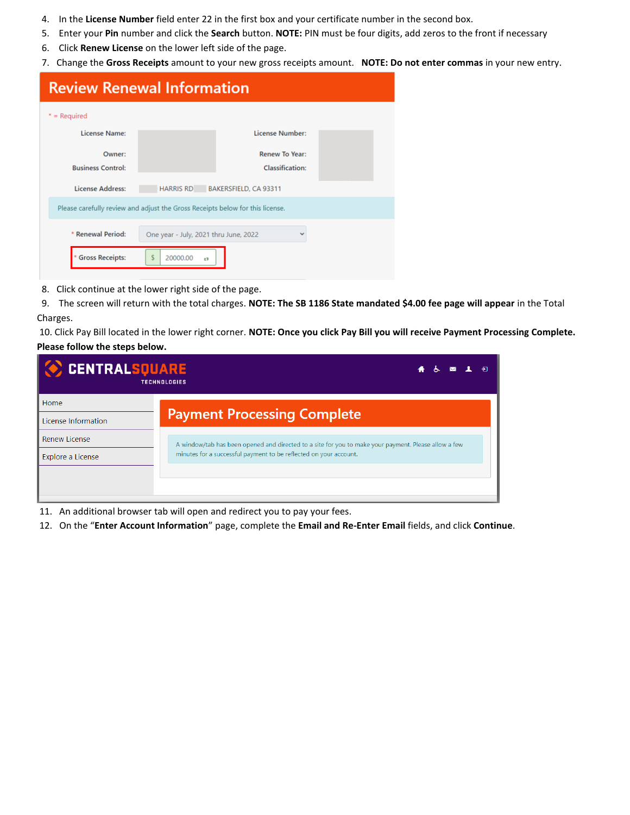- 4. In the **License Number** field enter 22 in the first box and your certificate number in the second box.
- 5. Enter your **Pin** number and click the **Search** button. **NOTE:** PIN must be four digits, add zeros to the front if necessary
- 6. Click **Renew License** on the lower left side of the page.
- 7. Change the **Gross Receipts** amount to your new gross receipts amount. **NOTE: Do not enter commas** in your new entry.

| <b>Review Renewal Information</b>                                             |                      |                                 |  |
|-------------------------------------------------------------------------------|----------------------|---------------------------------|--|
| $*$ = Required                                                                |                      |                                 |  |
| <b>License Name:</b>                                                          |                      | <b>License Number:</b>          |  |
| Owner:                                                                        |                      | <b>Renew To Year:</b>           |  |
| <b>Business Control:</b>                                                      |                      | <b>Classification:</b>          |  |
| <b>License Address:</b>                                                       |                      | HARRIS RD BAKERSFIELD, CA 93311 |  |
| Please carefully review and adjust the Gross Receipts below for this license. |                      |                                 |  |
| * Renewal Period:<br>One year - July, 2021 thru June, 2022<br>$\checkmark$    |                      |                                 |  |
| <b>Gross Receipts:</b>                                                        | \$<br>20000.00<br>£3 |                                 |  |

8. Click continue at the lower right side of the page.

 9. The screen will return with the total charges. **NOTE: The SB 1186 State mandated \$4.00 fee page will appear** in the Total Charges.

10. Click Pay Bill located in the lower right corner. **NOTE: Once you click Pay Bill you will receive Payment Processing Complete. Please follow the steps below.**

| <b>CENTRALSQUARE</b> | <b>TECHNOLOGIES</b>                                                                                  |
|----------------------|------------------------------------------------------------------------------------------------------|
| Home                 |                                                                                                      |
| License Information  | <b>Payment Processing Complete</b>                                                                   |
| <b>Renew License</b> | A window/tab has been opened and directed to a site for you to make your payment. Please allow a few |
| Explore a License    | minutes for a successful payment to be reflected on your account.                                    |
|                      |                                                                                                      |
|                      |                                                                                                      |

- 11. An additional browser tab will open and redirect you to pay your fees.
- 12. On the "**Enter Account Information**" page, complete the **Email and Re-Enter Email** fields, and click **Continue**.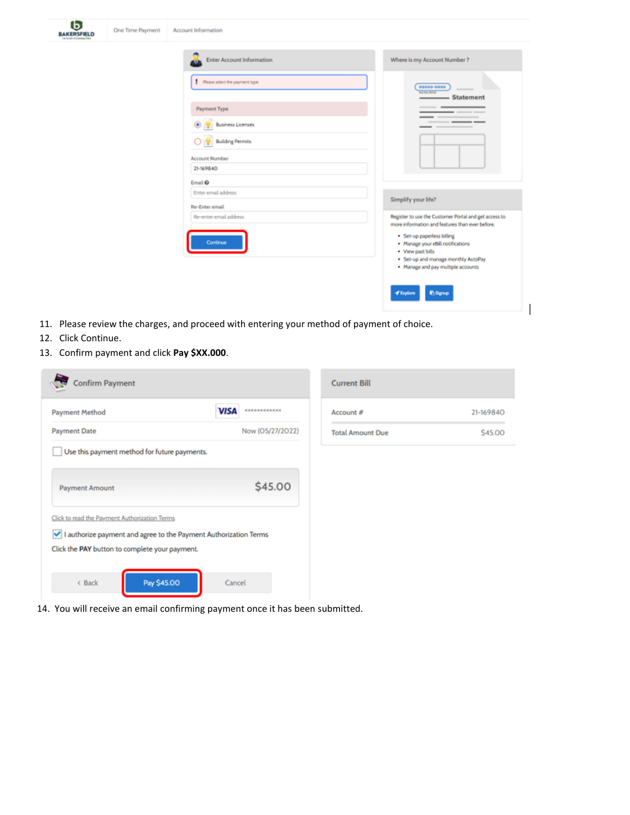| One Time Payment | Account Information            |                                                                                                                                                                   |
|------------------|--------------------------------|-------------------------------------------------------------------------------------------------------------------------------------------------------------------|
|                  | Enter Account Information      | Where is my Account Number ?                                                                                                                                      |
|                  | Flease select the payment type | 00000-0000<br>41-34-1416<br>-Statement                                                                                                                            |
|                  | Payment Type                   | - -                                                                                                                                                               |
|                  | <b>Business Licenses</b>       |                                                                                                                                                                   |
|                  | <b>Building Permits</b>        |                                                                                                                                                                   |
|                  | Account Number<br>21-169840    |                                                                                                                                                                   |
|                  | Email <sup>O</sup>             |                                                                                                                                                                   |
|                  | Enter email address            | Simplify your life?                                                                                                                                               |
|                  | Re-Enter email                 |                                                                                                                                                                   |
|                  | Re-enter email address         | Register to use the Customer Portal and get access to<br>more information and features than ever before.                                                          |
|                  | Continue                       | · Set-up paperless billing<br>· Manage your eBill notifications<br>· View past bills<br>. Set-up and manage monthly AutoPay<br>. Manage and pay multiple accounts |
|                  |                                | <b>∉</b> Explore<br><b><i><u>INSERIO</u></i></b>                                                                                                                  |

- 11. Please review the charges, and proceed with entering your method of payment of choice.
- 12. Click Continue.

BAKESFILD

13. Confirm payment and click **Pay \$XX.000**.

| <b>Payment Method</b>                                            | <b>VISA</b> | ************     |  |
|------------------------------------------------------------------|-------------|------------------|--|
| <b>Payment Date</b>                                              |             | Now (05/27/2022) |  |
| Use this payment method for future payments.                     |             |                  |  |
|                                                                  |             |                  |  |
| <b>Payment Amount</b>                                            |             | \$45.00          |  |
| Click to read the Payment Authorization Terms                    |             |                  |  |
| I authorize payment and agree to the Payment Authorization Terms |             |                  |  |
| Click the PAY button to complete your payment.                   |             |                  |  |
|                                                                  |             |                  |  |

| <b>Current Bill</b>     |           |
|-------------------------|-----------|
| Account #               | 21-169840 |
| <b>Total Amount Due</b> | \$45.00   |

14. You will receive an email confirming payment once it has been submitted.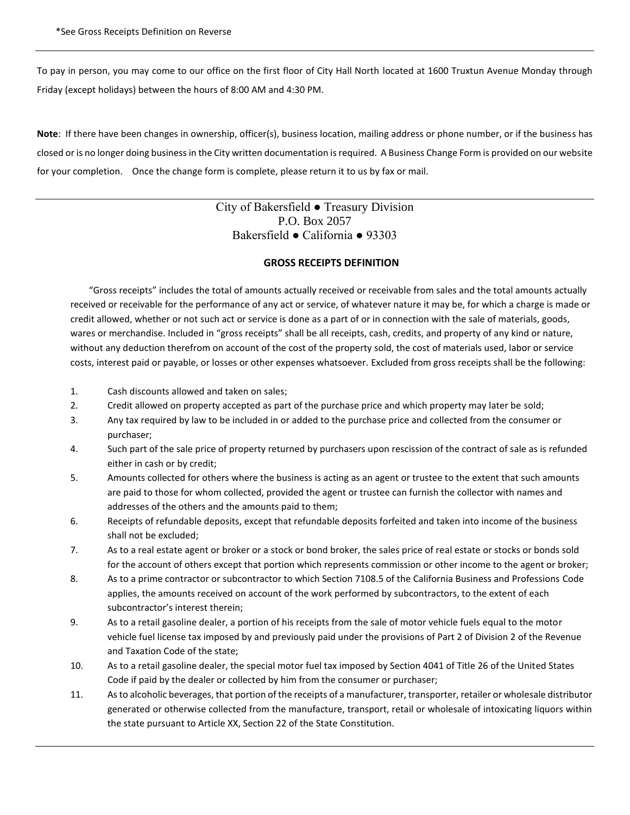To pay in person, you may come to our office on the first floor of City Hall North located at 1600 Truxtun Avenue Monday through Friday (except holidays) between the hours of 8:00 AM and 4:30 PM.

**Note**: If there have been changes in ownership, officer(s), business location, mailing address or phone number, or if the business has closed or is no longer doing business in the City written documentation is required. A Business Change Form is provided on our website for your completion. Once the change form is complete, please return it to us by fax or mail.

> City of Bakersfield ● Treasury Division P.O. Box 2057 Bakersfield ● California ● 93303

## **GROSS RECEIPTS DEFINITION**

"Gross receipts" includes the total of amounts actually received or receivable from sales and the total amounts actually received or receivable for the performance of any act or service, of whatever nature it may be, for which a charge is made or credit allowed, whether or not such act or service is done as a part of or in connection with the sale of materials, goods, wares or merchandise. Included in "gross receipts" shall be all receipts, cash, credits, and property of any kind or nature, without any deduction therefrom on account of the cost of the property sold, the cost of materials used, labor or service costs, interest paid or payable, or losses or other expenses whatsoever. Excluded from gross receipts shall be the following:

- 1. Cash discounts allowed and taken on sales;
- 2. Credit allowed on property accepted as part of the purchase price and which property may later be sold;
- 3. Any tax required by law to be included in or added to the purchase price and collected from the consumer or purchaser;
- 4. Such part of the sale price of property returned by purchasers upon rescission of the contract of sale as is refunded either in cash or by credit;
- 5. Amounts collected for others where the business is acting as an agent or trustee to the extent that such amounts are paid to those for whom collected, provided the agent or trustee can furnish the collector with names and addresses of the others and the amounts paid to them;
- 6. Receipts of refundable deposits, except that refundable deposits forfeited and taken into income of the business shall not be excluded;
- 7. As to a real estate agent or broker or a stock or bond broker, the sales price of real estate or stocks or bonds sold for the account of others except that portion which represents commission or other income to the agent or broker;
- 8. As to a prime contractor or subcontractor to which Section 7108.5 of the California Business and Professions Code applies, the amounts received on account of the work performed by subcontractors, to the extent of each subcontractor's interest therein;
- 9. As to a retail gasoline dealer, a portion of his receipts from the sale of motor vehicle fuels equal to the motor vehicle fuel license tax imposed by and previously paid under the provisions of Part 2 of Division 2 of the Revenue and Taxation Code of the state;
- 10. As to a retail gasoline dealer, the special motor fuel tax imposed by Section 4041 of Title 26 of the United States Code if paid by the dealer or collected by him from the consumer or purchaser;
- 11. As to alcoholic beverages, that portion of the receipts of a manufacturer, transporter, retailer or wholesale distributor generated or otherwise collected from the manufacture, transport, retail or wholesale of intoxicating liquors within the state pursuant to Article XX, Section 22 of the State Constitution.